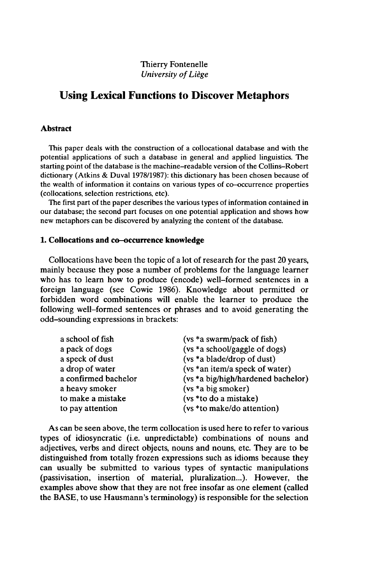# **Using Lexical Functions to Discover Metaphors**

### **Abstract**

This paper deals with the construction of a collocational database and with the potential applications of such a database in general and applied linguistics. The starting point of the database is the machine-readable version of the Collins-Robert dictionary (Atkins & Duval 1978/1987): this dictionary has been chosen because of the wealth of information it contains on various types of co-occurrence properties (collocations, selection restrictions, etc).

The first part of the paper describes the various types of information contained in our database; the second part focuses on one potential application and shows how new metaphors can be discovered by analyzing the content of the database.

### **1. Collocations and co-occurrence knowledge**

Collocations have been the topic of a lot of research for the past 20 years, mainly because they pose a number of problems for the language learner who has to learn how to produce (encode) well-formed sentences in a foreign language (see Cowie 1986). Knowledge about permitted or forbidden word combinations will enable the learner to produce the following well-formed sentences or phrases and to avoid generating the odd-sounding expressions in brackets:

| a school of fish     | (vs *a swarm/pack of fish)         |
|----------------------|------------------------------------|
| a pack of dogs       | (vs *a school/gaggle of dogs)      |
| a speck of dust      | (vs *a blade/drop of dust)         |
| a drop of water      | (vs *an item/a speck of water)     |
| a confirmed bachelor | (vs *a big/high/hardened bachelor) |
| a heavy smoker       | (vs *a big smoker)                 |
| to make a mistake    | (vs *to do a mistake)              |
| to pay attention     | (vs *to make/do attention)         |

As can be seen above, the term collocation is used here to refer to various types of idiosyncratic (i.e. unpredictable) combinations of nouns and adjectives, verbs and direct objects, nouns and nouns, etc. They are to be distinguished from totally frozen expressions such as idioms because they can usually be submitted to various types of syntactic manipulations (passivisation, insertion of material, pluralization...). However, the examples above show that they are not free insofar as one element (called the BASE, to use Hausmann's terminology) is responsible for the selection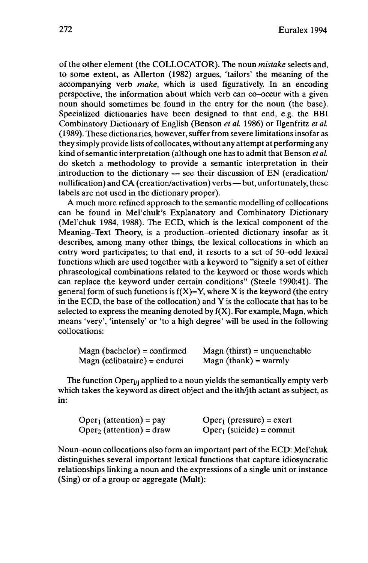of the other element (the COLLOCATOR). The noun *mistake* selects and, to some extent, as Allerton (1982) argues, 'tailors' the meaning of the accompanying verb *make,* which is used figuratively. In an encoding perspective, the information about which verb can co-occur with a given noun should sometimes be found in the entry for the noun (the base). Specialized dictionaries have been designed to that end, e.g. the BBI Combinatory Dictionary of English (Benson *et al.* 1986) or Ilgenfritz *et al.* (1989). These dictionaries, however, suffer from severe limitations insofar as they simply provide lists of collocates, without any attempt at performing any kind of semantic interpretation (although one has to admit that Benson *et al.*) do sketch a methodology to provide a semantic interpretation in their<br>introduction to the dictionary — see their discussion of EN (eradication/<br>methodology to their discussion of EN (eradication) introduction to the dictionary  $-$  see their discussion of EN (eradication/nullification) and CA (creation/activation) verbs—but, unfortunately, these labels are not used in the dictionary proper).

A much more refined approach to the semantic modelling of collocations can be found in Mel'chuk's Explanatory and Combinatory Dictionary (Mel'chuk 1984, 1988). The ECD, which is the lexical component of the Meaning-Text Theory, is a production-oriented dictionary insofar as it describes, among many other things, the lexical collocations in which an entry word participates; to that end, it resorts to a set of 50-odd lexical functions which are used together with a keyword to "signify a set of either phraseological combinations related to the keyword or those words which can replace the keyword under certain conditions" (Steele 1990:41). The general form of such functions is  $f(X)=Y$ , where X is the keyword (the entry in the ECD, the base of the collocation) and Y is the collocate that has to be selected to express the meaning denoted by  $f(X)$ . For example, Magn, which means 'very', 'intensely' or 'to a high degree' will be used in the following collocations:

| $\text{Magn}$ (bachelor) = confirmed | $\text{Magn (thirst)} = \text{unquenchable}$ |
|--------------------------------------|----------------------------------------------|
| Magn (célibataire) = endurci         | $\text{Magn (thank)} = \text{warmly}$        |

The function Oper<sub>i</sub><sub>i</sub> applied to a noun yields the semantically empty verb which takes the keyword as direct object and the ith/jth actant as subject, as in:

| $Oper1$ (attention) = pay          | $Oper_1$ (pressure) = exert |
|------------------------------------|-----------------------------|
| $\text{Oper}_2$ (attention) = draw | $Oper_1$ (suicide) = commit |

Noun-noun collocations also form an important part of the ECD: Mel'chuk distinguishes several important lexical functions that capture idiosyncratic relationships linking a noun and the expressions of a single unit or instance (Sing) or of a group or aggregate (Mult):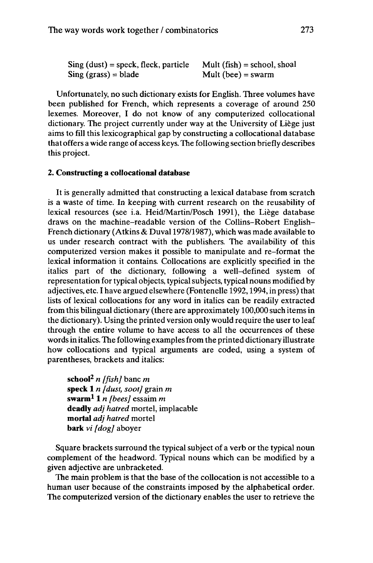| $Sing$ (dust) = speck, fleck, particle | Mult $(fish) = school, shoal$ |
|----------------------------------------|-------------------------------|
| $Sing (grass) = blade$                 | Mult (bee) = swarm            |

Unfortunately, no such dictionary exists for English. Three volumes have been published for French, which represents a coverage of around 250 lexemes. Moreover, I do not know of any computerized collocational dictionary. The project currently under way at the University of Liège just aims to fill this lexicographical gap by constructing a collocational database that offers a wide range of access keys. The following section briefly describes this project.

#### **2. Constructing a collocational database**

It is generally admitted that constructing a lexical database from scratch is a waste of time. In keeping with current research on the reusability of lexical resources (see i.a. Heid/Martin/Posch 1991), the Liège database draws on the machine-readable version of the Collins-Robert English-French dictionary (Atkins & Duval 1978/1987), which was made available to us under research contract with the publishers. The availability of this computerized version makes it possible to manipulate and re-format the lexical information it contains. Collocations are explicitly specified in the italics part of the dictionary, following a well-defined system of representation for typical objects, typical subjects, typical nouns modified by adjectives, etc. I have argued elsewhere (Fontenelle 1992,1994, in press) that lists of lexical collocations for any word in italics can be readily extracted from this bilingual dictionary (there are approximately 100,000 such items in the dictionary). Using the printed version only would require the user to leaf through the entire volume to have access to all the occurrences of these words in italics. The following examples from the printed dictionary illustrate how collocations and typical arguments are coded, using a system of parentheses, brackets and italics:

**school<sup>2</sup>** *n [fish]* banc *m* **speck 1** *n [dust, soot]* grain *m* **swarm<sup>1</sup> 1** *<sup>n</sup> [bees]* essaim *m* **deadly** *adj* hatred mortel, implacable  $m$ ortal *adj* hatred mortel **bark** *vi [dog]* aboyer

Square brackets surround the typical subject of a verb or the typical noun complement of the headword. Typical nouns which can be modified by a given adjective are unbracketed.

The main problem is that the base of the collocation is not accessible to a human user because of the constraints imposed by the alphabetical order. The computerized version of the dictionary enables the user to retrieve the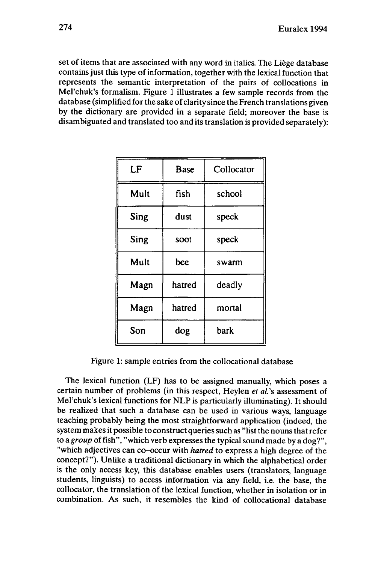set of items that are associated with any word in italics. The Liège database contains just this type of information, together with the lexical function that represents the semantic interpretation of the pairs of collocations in Mel'chuk's formalism. Figure <sup>1</sup> illustrates a few sample records from the database (simplified for the sake of clarity since the French translations given by the dictionary are provided in a separate field; moreover the base is disambiguated and translated too and its translation is provided separately):

| LF   | Base   | Collocator |
|------|--------|------------|
| Mult | fish   | school     |
| Sing | dust   | speck      |
| Sing | soot   | speck      |
| Mult | bee    | swarm      |
| Magn | hatred | deadly     |
| Magn | hatred | mortal     |
| Son  | dog    | bark       |

Figure 1: sample entries from the collocational database

The lexical function (LF) has to be assigned manually, which poses a certain number of problems (in this respect, Heylen *et al.*'s assessment of Mel'chuk's lexical functions for NLP is particularly illuminating). It should be realized that such a database can be used in various ways, language teaching probably being the most straightforward application (indeed, the system makes it possible to construct queries such as "list the nouns that refer *to a group* offish", "which verb expresses the typical sound made by a dog?", "which adjectives can co-occur with *hatred* to express a high degree of the concept?"). Unlike a traditional dictionary in which the alphabetical order is the only access key, this database enables users (translators, language students, linguists) to access information via any field, i.e. the base, the collocator, the translation of the lexical function, whether in isolation or in combination. As such, it resembles the kind of collocational database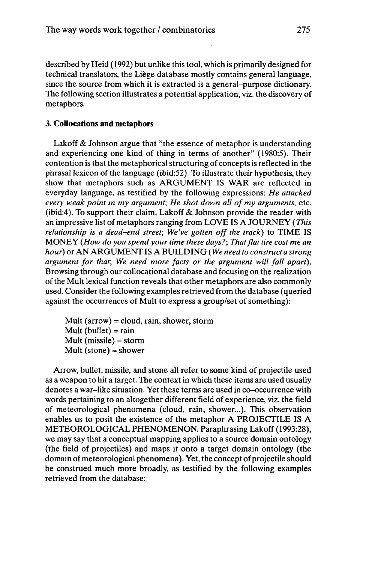described by Heid (1992) but unlike this tool, which is primarily designed for technical translators, the Liège database mostly contains general language, since the source from which it is extracted is a general-purpose dictionary. The following section illustrates a potential application, viz. the discovery of metaphors.

#### **3. Collocations and metaphors**

Lakoff & Johnson argue that "the essence of metaphor is understanding and experiencing one kind of thing in terms of another" (1980:5). Their contention is that the metaphorical structuring of concepts is reflected in the phrasallexicon of the language (ibid:52). To illustrate their hypothesis, they show that metaphors such as ARGUMENT IS WAR are reflected in everyday language, as testified by the following expressions: *He attacked every weak point in my argument; He shot down all ofmy arguments,* etc. (ibid:4). To support their claim, Lakoff & Johnson provide the reader with an impressive list of metaphors ranging from LOVE IS A JOURNEY *(This relationship is a dead-end street; We've gotten offthe track)* to TIME IS MONEY *(How do you spend your time these days?; Thatflattire cost me an hour)* or AN ARGUMENT IS A BUILDING *(We need to construct a strong argument for that; We need more facts or the argument will fall apart).* Browsing through our collocational database and focusing on the realization of the Mult lexical function reveals that other metaphors are also commonly used. Consider the following examples retrieved from the database (queried against the occurrences of Mult to express a group/set of something):

Mult ( $arrow$ ) = cloud, rain, shower, storm Mult (bullet) = rain Mult (missile) = storm Mult (stone) = shower

Arrow, bullet, missile, and stone all refer to some kind of projectile used as a weapon to hit a target. The context in which these items are used usually denotes a war-like situation. Yet these terms are used in co-occurrence with words pertaining to an altogether different field of experience, viz. the field of meteorological phenomena (cloud, rain, shower...). This observation enables us to posit the existence of the metaphor A PROJECTILE IS A METEOROLOGICAL PHENOMENON. Paraphrasing Lakoff (1993:28), we may say that a conceptual mapping applies to a source domain ontology (the field of projectiles) and maps it onto a target domain ontology (the domain of meteorological phenomena). Yet, the concept of projectile should be construed much more broadly, as testified by the following examples retrieved from the database: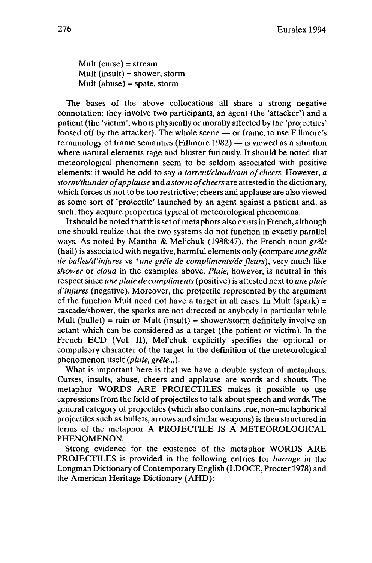Mult (curse) = stream Mult (insult) = shower, storm Mult (abuse) = spate, storm

The bases of the above collocations all share a strong negative connotation: they involve two participants, an agent (the 'attacker') and a patient (the 'victim', who is physically or morally affected by the 'projectiles'<br>loosed off by the attacker). The whole scene — or frame, to use Fillmore's loosed off by the attacker). The whole scene — or frame, to use Fillmore's terminology of frame semantics (Fillmore 1982) — is viewed as a situation where natural elements rage and bluster furiously. It should be noted that meteorological phenomena seem to be seldom associated with positive elements: it would be odd to say *a torrent/cloud/rain of cheers.* However, *a storm/thunderofapplause* and *<sup>a</sup> storm ofcheers* are attested in the dictionary, which forces us not to be too restrictive; cheers and applause are also viewed as some sort of 'projectile' launched by an agent against a patient and, as such, they acquire properties typical of meteorological phenomena.

It should be noted that this set of metaphors also exists in French, although one should realize that the two systems do not function in exactly parallel ways. As noted by Mantha & Mel'chuk (1988:47), the French noun *grêle* (hail) is associated with negative, harmful elements only (compare *une grêle de balles/d'injures* vs *\*une grêle de compliments/de fleurs),* very much like *shower* or *cloud* in the examples above. *Pluie,* however, is neutral in this respect since *unepluie de compliments* (positive) is attested next to *unepluie d'injures* (negative). Moreover, the projectile represented by the argument of the function Mult need not have a target in all cases. In Mult (spark) = cascade/shower, the sparks are not directed at anybody in particular while Mult (bullet) = rain or Mult (insult) = shower/storm definitely involve an actant which can be considered as a target (the patient or victim). In the French ECD (Vol. II), Mel'chuk explicitly specifies the optional or compulsory character of the target in the definition of the meteorological phenomenon itself *{pluie, grêle...).*

What is important here is that we have a double system of metaphors. Curses, insults, abuse, cheers and applause are words and shouts. The metaphor WORDS ARE PROJECTILES makes it possible to use expressions from the field of projectiles to talk about speech and words. The general category of projectiles (which also contains true, non-metaphorical projectiles such as bullets, arrows and similar weapons) is then structured in terms of the metaphor A PROJECTILE IS A METEOROLOGICAL PHENOMENON.

Strong evidence for the existence of the metaphor WORDS ARE PROJECTILES is provided in the following entries for *barrage* in the Longman Dictionary of Contemporary English (LDOCE, Procter 1978) and the American Heritage Dictionary (AHD):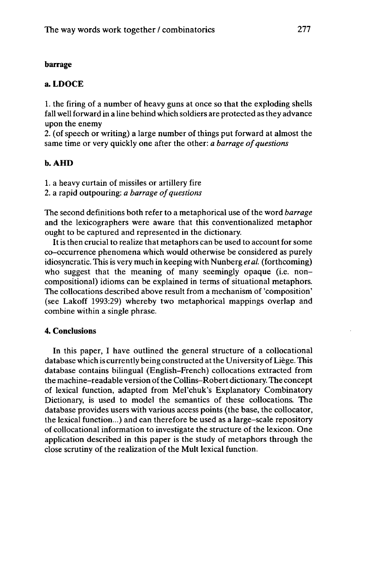### **barrage**

## **a. LDOCE**

1. the firing of a number of heavy guns at once so that the exploding shells fall well forward in a line behind which soldiers are protected as they advance upon the enemy

2. (of speech or writing) a large number of things put forward at almost the same time or very quickly one after the other: *a barrage of questions* 

### **b.AHD**

1. a heavy curtain of missiles or artillery fire

2. a rapid outpouring: *a barrage ofquestions*

The second definitions both refer to a metaphorical use of the word *barrage* and the lexicographers were aware that this conventionalized metaphor ought to be captured and represented in the dictionary.

Itis then crucial to realize that metaphors can be used to account for some co-occurrence phenomena which would otherwise be considered as purely idiosyncratic. This is very much in keeping with Nunberg *et al.* (forthcoming) who suggest that the meaning of many seemingly opaque (i.e. noncompositional) idioms can be explained in terms of situational metaphors. The collocations described above result from a mechanism of 'composition' (see Lakoff 1993:29) whereby two metaphorical mappings overlap and combine within a single phrase.

### 4. **Conclusions**

In this paper, I have outlined the general structure of a collocational database which is currently being constructed at the University of Liège. This database contains bilingual (English-French) collocations extracted from the machine-readable version ofthe Collins-Robert dictionary. The concept of lexical function, adapted from Mel'chuk's Explanatory Combinatory Dictionary, is used to model the semantics of these collocations. The database provides users with various access points (the base, the collocator, the lexical function...) and can therefore be used as a large-scale repository of collocational information to investigate the structure of the lexicon. One application described in this paper is the study of metaphors through the close scrutiny of the realization of the Mult lexical function.